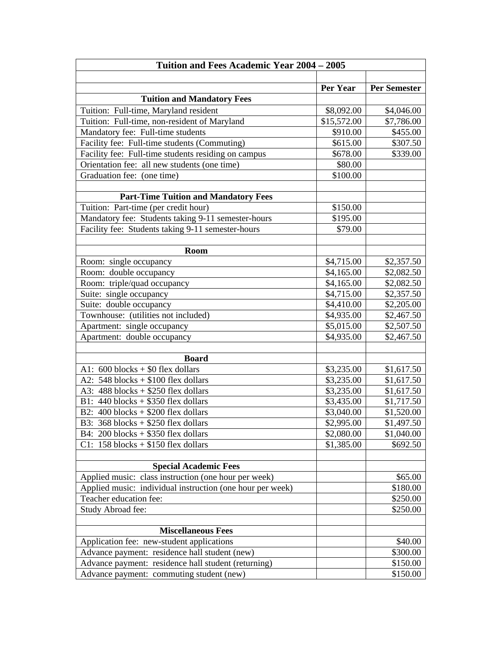| Tuition and Fees Academic Year 2004 - 2005                |                 |                     |  |
|-----------------------------------------------------------|-----------------|---------------------|--|
|                                                           |                 |                     |  |
|                                                           | <b>Per Year</b> | <b>Per Semester</b> |  |
| <b>Tuition and Mandatory Fees</b>                         |                 |                     |  |
| Tuition: Full-time, Maryland resident                     | \$8,092.00      | \$4,046.00          |  |
| Tuition: Full-time, non-resident of Maryland              | \$15,572.00     | \$7,786.00          |  |
| Mandatory fee: Full-time students                         | \$910.00        | \$455.00            |  |
| Facility fee: Full-time students (Commuting)              | \$615.00        | \$307.50            |  |
| Facility fee: Full-time students residing on campus       | \$678.00        | \$339.00            |  |
| Orientation fee: all new students (one time)              | \$80.00         |                     |  |
| Graduation fee: (one time)                                | \$100.00        |                     |  |
| <b>Part-Time Tuition and Mandatory Fees</b>               |                 |                     |  |
| Tuition: Part-time (per credit hour)                      | \$150.00        |                     |  |
| Mandatory fee: Students taking 9-11 semester-hours        | \$195.00        |                     |  |
| Facility fee: Students taking 9-11 semester-hours         | \$79.00         |                     |  |
|                                                           |                 |                     |  |
| Room                                                      |                 |                     |  |
| Room: single occupancy                                    | \$4,715.00      | \$2,357.50          |  |
| Room: double occupancy                                    | \$4,165.00      | \$2,082.50          |  |
| Room: triple/quad occupancy                               | \$4,165.00      | \$2,082.50          |  |
| Suite: single occupancy                                   | \$4,715.00      | \$2,357.50          |  |
| Suite: double occupancy                                   | \$4,410.00      | \$2,205.00          |  |
| Townhouse: (utilities not included)                       | \$4,935.00      | \$2,467.50          |  |
| Apartment: single occupancy                               | \$5,015.00      | \$2,507.50          |  |
| Apartment: double occupancy                               | \$4,935.00      | \$2,467.50          |  |
|                                                           |                 |                     |  |
| <b>Board</b>                                              |                 |                     |  |
| A1: $600$ blocks + \$0 flex dollars                       | \$3,235.00      | \$1,617.50          |  |
| A2: $548$ blocks + \$100 flex dollars                     | \$3,235.00      | \$1,617.50          |  |
| A3: $488$ blocks + \$250 flex dollars                     | \$3,235.00      | \$1,617.50          |  |
| B1: $440$ blocks + \$350 flex dollars                     | \$3,435.00      | \$1,717.50          |  |
| B2: $400$ blocks + \$200 flex dollars                     | \$3,040.00      | \$1,520.00          |  |
| B3: 368 blocks $+$ \$250 flex dollars                     | \$2,995.00      | \$1,497.50          |  |
| B4: 200 blocks $+$ \$350 flex dollars                     | \$2,080.00      | \$1,040.00          |  |
| C1: $158$ blocks + \$150 flex dollars                     | \$1,385.00      | \$692.50            |  |
| <b>Special Academic Fees</b>                              |                 |                     |  |
| Applied music: class instruction (one hour per week)      |                 | \$65.00             |  |
| Applied music: individual instruction (one hour per week) |                 | \$180.00            |  |
| Teacher education fee:                                    |                 | \$250.00            |  |
| Study Abroad fee:                                         |                 | \$250.00            |  |
|                                                           |                 |                     |  |
| <b>Miscellaneous Fees</b>                                 |                 |                     |  |
| Application fee: new-student applications                 |                 | \$40.00             |  |
| Advance payment: residence hall student (new)             |                 | \$300.00            |  |
| Advance payment: residence hall student (returning)       |                 | \$150.00            |  |
| Advance payment: commuting student (new)                  |                 | \$150.00            |  |